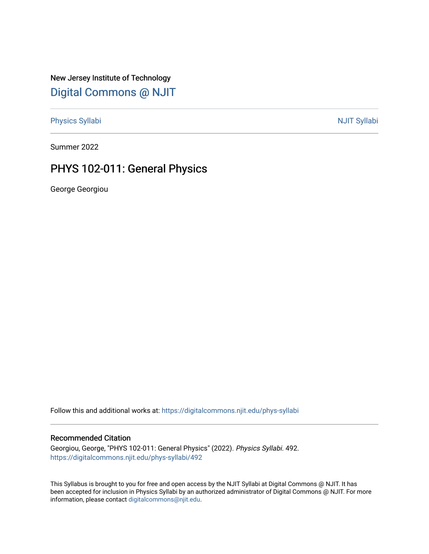New Jersey Institute of Technology [Digital Commons @ NJIT](https://digitalcommons.njit.edu/) 

[Physics Syllabi](https://digitalcommons.njit.edu/phys-syllabi) **NJIT Syllabi** [NJIT Syllabi](https://digitalcommons.njit.edu/syllabi) and the syllabidity of the syllabidity of the syllabidity of the syllabidity of the syllabidity of the syllabidity of the syllabidity of the syllabidity of the syllabidity of the

Summer 2022

# PHYS 102-011: General Physics

George Georgiou

Follow this and additional works at: [https://digitalcommons.njit.edu/phys-syllabi](https://digitalcommons.njit.edu/phys-syllabi?utm_source=digitalcommons.njit.edu%2Fphys-syllabi%2F492&utm_medium=PDF&utm_campaign=PDFCoverPages) 

#### Recommended Citation

Georgiou, George, "PHYS 102-011: General Physics" (2022). Physics Syllabi. 492. [https://digitalcommons.njit.edu/phys-syllabi/492](https://digitalcommons.njit.edu/phys-syllabi/492?utm_source=digitalcommons.njit.edu%2Fphys-syllabi%2F492&utm_medium=PDF&utm_campaign=PDFCoverPages) 

This Syllabus is brought to you for free and open access by the NJIT Syllabi at Digital Commons @ NJIT. It has been accepted for inclusion in Physics Syllabi by an authorized administrator of Digital Commons @ NJIT. For more information, please contact [digitalcommons@njit.edu.](mailto:digitalcommons@njit.edu)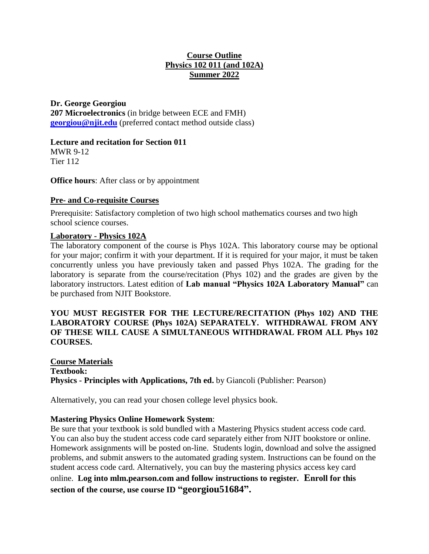## **Course Outline Physics 102 011 (and 102A) Summer 2022**

**Dr. George Georgiou 207 Microelectronics** (in bridge between ECE and FMH) **[georgiou@njit.edu](mailto:georgiou@njit.edu)** (preferred contact method outside class)

## **Lecture and recitation for Section 011**

MWR 9-12 Tier 112

**Office hours**: After class or by appointment

#### **Pre- and Co-requisite Courses**

Prerequisite: Satisfactory completion of two high school mathematics courses and two high school science courses.

#### **Laboratory - Physics 102A**

The laboratory component of the course is Phys 102A. This laboratory course may be optional for your major; confirm it with your department. If it is required for your major, it must be taken concurrently unless you have previously taken and passed Phys 102A. The grading for the laboratory is separate from the course/recitation (Phys 102) and the grades are given by the laboratory instructors. Latest edition of **Lab manual "Physics 102A Laboratory Manual"** can be purchased from NJIT Bookstore.

## **YOU MUST REGISTER FOR THE LECTURE/RECITATION (Phys 102) AND THE LABORATORY COURSE (Phys 102A) SEPARATELY. WITHDRAWAL FROM ANY OF THESE WILL CAUSE A SIMULTANEOUS WITHDRAWAL FROM ALL Phys 102 COURSES.**

## **Course Materials Textbook: Physics - Principles with Applications, 7th ed.** by Giancoli (Publisher: Pearson)

Alternatively, you can read your chosen college level physics book.

## **Mastering Physics Online Homework System**:

Be sure that your textbook is sold bundled with a Mastering Physics student access code card. You can also buy the student access code card separately either from NJIT bookstore or online. Homework assignments will be posted on-line. Students login, download and solve the assigned problems, and submit answers to the automated grading system. Instructions can be found on the student access code card. Alternatively, you can buy the mastering physics access key card online. **Log into mlm.pearson.com and follow instructions to register. Enroll for this section of the course, use course ID "georgiou51684".**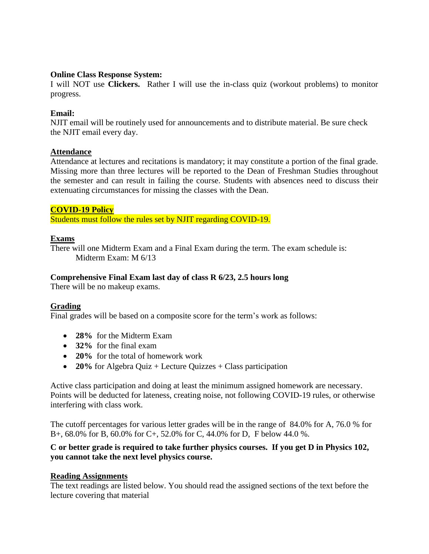#### **Online Class Response System:**

I will NOT use **Clickers.** Rather I will use the in-class quiz (workout problems) to monitor progress.

## **Email:**

NJIT email will be routinely used for announcements and to distribute material. Be sure check the NJIT email every day.

#### **Attendance**

Attendance at lectures and recitations is mandatory; it may constitute a portion of the final grade. Missing more than three lectures will be reported to the Dean of Freshman Studies throughout the semester and can result in failing the course. Students with absences need to discuss their extenuating circumstances for missing the classes with the Dean.

#### **COVID-19 Policy**

Students must follow the rules set by NJIT regarding COVID-19.

#### **Exams**

There will one Midterm Exam and a Final Exam during the term. The exam schedule is: Midterm Exam: M 6/13

#### **Comprehensive Final Exam last day of class R 6/23, 2.5 hours long**

There will be no makeup exams.

## **Grading**

Final grades will be based on a composite score for the term's work as follows:

- **28%** for the Midterm Exam
- **32%** for the final exam
- 20% for the total of homework work
- **20%** for Algebra Quiz + Lecture Quizzes + Class participation

Active class participation and doing at least the minimum assigned homework are necessary. Points will be deducted for lateness, creating noise, not following COVID-19 rules, or otherwise interfering with class work.

The cutoff percentages for various letter grades will be in the range of 84.0% for A, 76.0 % for B+, 68.0% for B, 60.0% for C+, 52.0% for C, 44.0% for D, F below 44.0 %.

#### **C or better grade is required to take further physics courses. If you get D in Physics 102, you cannot take the next level physics course.**

#### **Reading Assignments**

The text readings are listed below. You should read the assigned sections of the text before the lecture covering that material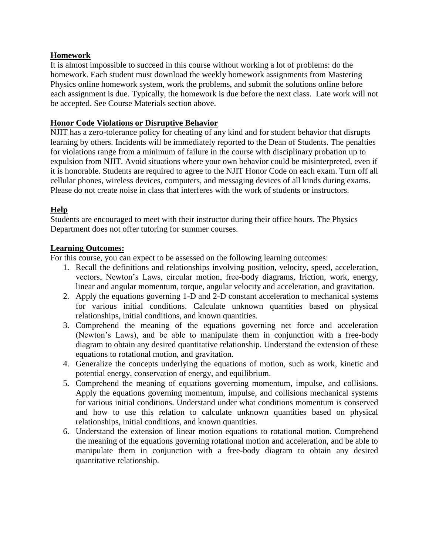## **Homework**

It is almost impossible to succeed in this course without working a lot of problems: do the homework. Each student must download the weekly homework assignments from Mastering Physics online homework system, work the problems, and submit the solutions online before each assignment is due. Typically, the homework is due before the next class. Late work will not be accepted. See Course Materials section above.

#### **Honor Code Violations or Disruptive Behavior**

NJIT has a zero-tolerance policy for cheating of any kind and for student behavior that disrupts learning by others. Incidents will be immediately reported to the Dean of Students. The penalties for violations range from a minimum of failure in the course with disciplinary probation up to expulsion from NJIT. Avoid situations where your own behavior could be misinterpreted, even if it is honorable. Students are required to agree to the NJIT Honor Code on each exam. Turn off all cellular phones, wireless devices, computers, and messaging devices of all kinds during exams. Please do not create noise in class that interferes with the work of students or instructors.

## **Help**

Students are encouraged to meet with their instructor during their office hours. The Physics Department does not offer tutoring for summer courses.

#### **Learning Outcomes:**

For this course, you can expect to be assessed on the following learning outcomes:

- 1. Recall the definitions and relationships involving position, velocity, speed, acceleration, vectors, Newton's Laws, circular motion, free-body diagrams, friction, work, energy, linear and angular momentum, torque, angular velocity and acceleration, and gravitation.
- 2. Apply the equations governing 1-D and 2-D constant acceleration to mechanical systems for various initial conditions. Calculate unknown quantities based on physical relationships, initial conditions, and known quantities.
- 3. Comprehend the meaning of the equations governing net force and acceleration (Newton's Laws), and be able to manipulate them in conjunction with a free-body diagram to obtain any desired quantitative relationship. Understand the extension of these equations to rotational motion, and gravitation.
- 4. Generalize the concepts underlying the equations of motion, such as work, kinetic and potential energy, conservation of energy, and equilibrium.
- 5. Comprehend the meaning of equations governing momentum, impulse, and collisions. Apply the equations governing momentum, impulse, and collisions mechanical systems for various initial conditions. Understand under what conditions momentum is conserved and how to use this relation to calculate unknown quantities based on physical relationships, initial conditions, and known quantities.
- 6. Understand the extension of linear motion equations to rotational motion. Comprehend the meaning of the equations governing rotational motion and acceleration, and be able to manipulate them in conjunction with a free-body diagram to obtain any desired quantitative relationship.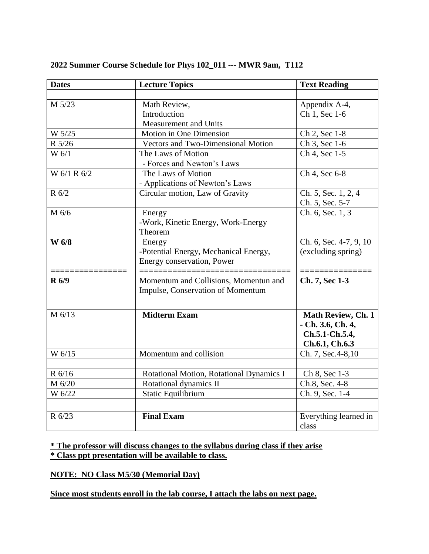| <b>Dates</b> | <b>Lecture Topics</b>                     | <b>Text Reading</b>    |
|--------------|-------------------------------------------|------------------------|
|              |                                           |                        |
| M 5/23       | Math Review,                              | Appendix A-4,          |
|              | Introduction                              | Ch 1, Sec 1-6          |
|              | Measurement and Units                     |                        |
| W 5/25       | Motion in One Dimension                   | Ch 2, Sec 1-8          |
| R 5/26       | <b>Vectors and Two-Dimensional Motion</b> | Ch 3, Sec 1-6          |
| W 6/1        | The Laws of Motion                        | Ch 4, Sec 1-5          |
|              | - Forces and Newton's Laws                |                        |
| W 6/1 R 6/2  | The Laws of Motion                        | Ch 4, Sec 6-8          |
|              | - Applications of Newton's Laws           |                        |
| R 6/2        | Circular motion, Law of Gravity           | Ch. 5, Sec. 1, 2, 4    |
|              |                                           | Ch. 5, Sec. 5-7        |
| M 6/6        | Energy                                    | Ch. 6, Sec. 1, 3       |
|              | -Work, Kinetic Energy, Work-Energy        |                        |
|              | Theorem                                   |                        |
| W 6/8        | Energy                                    | Ch. 6, Sec. 4-7, 9, 10 |
|              | -Potential Energy, Mechanical Energy,     | (excluding spring)     |
|              | Energy conservation, Power                |                        |
|              |                                           |                        |
| <b>R</b> 6/9 | Momentum and Collisions, Momentun and     | Ch. 7, Sec 1-3         |
|              | Impulse, Conservation of Momentum         |                        |
|              |                                           |                        |
| M 6/13       | <b>Midterm Exam</b>                       | Math Review, Ch. 1     |
|              |                                           | - Ch. 3.6, Ch. 4,      |
|              |                                           | Ch.5.1-Ch.5.4,         |
|              | Momentum and collision                    | Ch.6.1, Ch.6.3         |
| W 6/15       |                                           | Ch. 7, Sec. 4-8, 10    |
| R 6/16       | Rotational Motion, Rotational Dynamics I  | Ch 8, Sec 1-3          |
| M 6/20       | Rotational dynamics II                    | Ch.8, Sec. 4-8         |
| W 6/22       | <b>Static Equilibrium</b>                 | Ch. 9, Sec. 1-4        |
|              |                                           |                        |
|              |                                           |                        |
| R 6/23       | <b>Final Exam</b>                         | Everything learned in  |
|              |                                           | class                  |

#### **2022 Summer Course Schedule for Phys 102\_011 --- MWR 9am, T112**

**\* The professor will discuss changes to the syllabus during class if they arise \* Class ppt presentation will be available to class.**

**NOTE: NO Class M5/30 (Memorial Day)**

**Since most students enroll in the lab course, I attach the labs on next page.**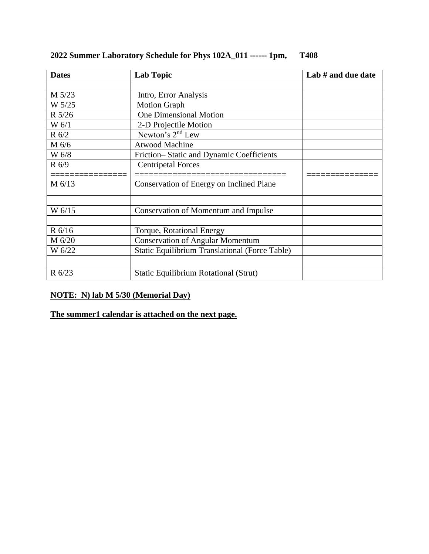| <b>Dates</b> | <b>Lab Topic</b>                                      | Lab # and due date |
|--------------|-------------------------------------------------------|--------------------|
|              |                                                       |                    |
| M 5/23       | Intro, Error Analysis                                 |                    |
| W 5/25       | <b>Motion Graph</b>                                   |                    |
| R 5/26       | <b>One Dimensional Motion</b>                         |                    |
| W 6/1        | 2-D Projectile Motion                                 |                    |
| $R\,6/2$     | Newton's $2nd$ Lew                                    |                    |
| M 6/6        | <b>Atwood Machine</b>                                 |                    |
| W 6/8        | Friction-Static and Dynamic Coefficients              |                    |
| $R\ 6/9$     | <b>Centripetal Forces</b>                             |                    |
|              | ============================                          |                    |
| $M$ 6/13     | Conservation of Energy on Inclined Plane              |                    |
|              |                                                       |                    |
| W 6/15       | <b>Conservation of Momentum and Impulse</b>           |                    |
|              |                                                       |                    |
| R 6/16       | <b>Torque, Rotational Energy</b>                      |                    |
| M 6/20       | <b>Conservation of Angular Momentum</b>               |                    |
| W 6/22       | <b>Static Equilibrium Translational (Force Table)</b> |                    |
|              |                                                       |                    |
| R 6/23       | <b>Static Equilibrium Rotational (Strut)</b>          |                    |

# **2022 Summer Laboratory Schedule for Phys 102A\_011 ------ 1pm, T408**

## **NOTE: N) lab M 5/30 (Memorial Day)**

## **The summer1 calendar is attached on the next page.**